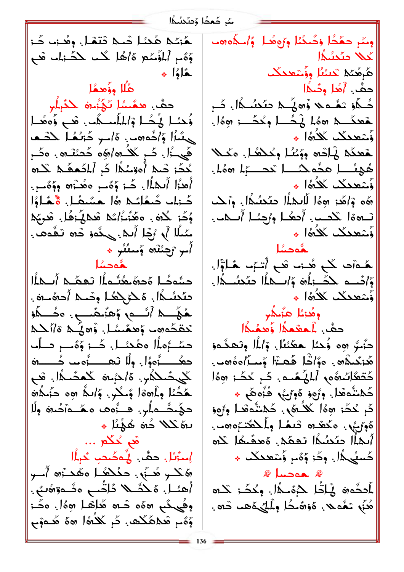هَٰٓئِکُمْ هَٰۡحُمُـٰلٌ شَـٰہٗ قَتَمۡلُہٖ وِهُـٰٓٓٓٓٓٓٓٓٓتُ ضَـًٰٓٓٓٓ وَوَّى أَلمُؤْمَّدِهِ وَأَهْلَ كُنْتَ لِكَتَّبَاتٍ هُنَ هُ إِذًا ﴾ حُلًا وؤُهِمًا حفْ. همَّسُا تَكْنُوه كَذَبِلُر وُّحِنُـا لِيُحُـا وَٱللَّامِــدُّب. هَــع وَّەهُــا حْكَمُ أَمْنُهُمْ مِنْ أَمْسِ الْمَعْرَفَةِ الْمَعْرِ فَي أَ. ثُمِ لَكُـْه/هِٔه خُصْلَـه . هضْرِ حُدِّ: ثَـٰهَ أُوتِسُمُّا ثَـٰرٍ ٱلْمُعَصِّمَ لَـُدْه أُهِدًا أَبْكِلًا. كُنْ وَوَّبِ وَهُنْزَهِ وَوَّقَسِ. كَّزِلِي حُبْعُائِكَ 1⁄8 جِسَّمَانِ وَهُلُوا وُكُرْ لَكُنْ ، وَهُزَّنْزُاْتُكُمْ قَدْمُ لَمْزَوْفًا ، قَدِيَكُمْ مَمْسًا ﴾ رُجَّا أَبِي الْمَعْدِينَ الْمَدِّينَ مِنْ الْمُدْمِنِ مِنْ الْمَدْمِنِ أمو أرجنالله وَمعلَّلٍ ﴾ ه دمار حِسْدَكُمْ مَحْمَدُهُمْ الْحَكْمِ أَسْمَا دىّكىندُا. ەَلاكِلاھُل وصْلا أَدەُــە. هُنَّى ٨ أَنَّــهِ وَهُنَمْعَــيٍ. هَــُـكَمو تَحْصَّدُهُ وَمَعْسَلَ. وَهِيَّ ١/٥ ١/٤ حعُــــــزُّووُا . وِلَٰا نَـعــــــزُّومب حُــــــــرف ݣَﻴﺤُﯩﺪْﺩُﺮ. ﻩٞﺍﺣَﺑُﺪﻩ ﻛٚﻤﺼٞـﺪُﺍ. ﻣَــ هَجُمْا وِلْمَحَادَ وَّكْرٍ. وَٱللَّهُ وَهِ حَزَيْكُمْ حَجَّىئُــدَلُرِ. فــزُّەھ مَصَّـدَٱخُـدَة وِلَٰا ىغى*كلا* دُڧ ھُڮُىُل ؞ قو مُكُمْ... إمتَّثَل. حقَّ فَّوَحَمَدِ كَبِمَّا ۆڭلىر ھُـنّى. ھگلھُـل ەھُـدْ;ە أُسىر أَهْـُـا. ەَـٰذَـُــٰلا دُلَتُــٰـہٖ ەثـُــەَوّەتُمْ. وفُهِيمٌم وهوَه شَدْهَا وَوَاءِ وَضَّرَ وَوَّى شَدْهَكُتُ مِّ كَلاَّهُ أَمَّ هُدَوْب

ومئر حكْحًا وَحَمْدُا وَرُوهُما ۖ وَٱسْلَاهِ وَٱ كلا منْحْسُدُا هُرِهُمُمْ تَعْمُلُ وَوُسْعَدِكُتْ حفٌّ. أهُا وضَّهُا كُـكُوْ تَعْـَمِيلا زْ7ْهِيْـبِمْ مِنْكِنُبِـكُمْلِ. كَــرِ هَعدَ \_ مِهْدَ إِحْكَارِ وِحْكَسَةِ وِهِهَا. ؤْسْعِدِكْمِ كَلاُبُوا ﴾ هَعنَدَ لِمُأْدَه وِوَّسُل وِحُكْمًا. 20كُلُّ هُهِنُــا مَدُه حَمْــا تَحــبُه مَهْهُ. ؤشعدكما كلأة ا \* هُه وْأَهَٰذٍ هِهَٰا لَّالِّهَاْ مَنْحَسُمَّا. وْأَحْب أؤشعدكما للأوه ابه ه دسمار كَمَدْتَ لَكَمْ هُدِنِكَ هُمْ أُسْبَكَ كَمَارَةٍۚا بِ وَّاصَّــو حَكَّــ; أَنْ وَّاسْــمَلَّا صَحْبُـــدًا . ؤشعدكك كلأه اء وهُذِمًا هِنُمُy دَمَّة . أَحْقَمَهُ أَوْ وَهُمُهُ ا حَنُبُ ٥٥ وُحِبُل هِعَيْنُل. وَٱلْمَل وِتَعِجْمَوْ هُزِيَدِيْهِ وَوُاْشًا هُهِنَّا وَسَأَاهِ وُهِ . كَتْݣَانُدْهُمْ أَلْمُلّْهُدُو. كُم كُكّْ: ﴿ كَهْنَدُهِ دَا. وِرُووْ هُورُبُ وَ اُهُمَّعْ \* كَرِ كُكُرْ هِهُ! ݣْلْكُمْ). كْمْشُەْقْدا وِزُووْ ەُوزىبُو . مكتشى شىما ولمكتكرە مە أَبِيْدَا الْمَحْبُدُا نَعِيَكُمْ. وُحِفَيْعًا لَكُلُو حُسبُكِمَا. وِحٌزَ وَوَّسٍ وَمَعْدَكَتْ \* R Lusan R لَمَحْدَه هُلَاتُ لِكُوْمَــدًا. وِحُحَـٰ; كَــْه هُنَّهِ تَعْمَلا. هُوْهُمْشًا وِلْمُ هُمَّتْ دَهِ.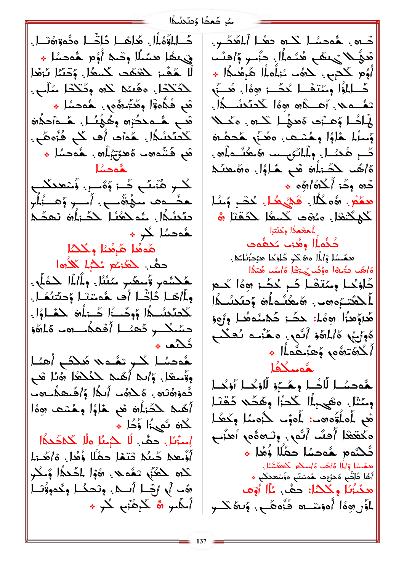مِّي كَعِجًا وُصَحْبُدًا

كْـالمُوّْمُلُل. هَاهْـا دُاتْـا ەئەزەنىل. وْيِ بِعَامَ الْمَسْلَا وِجْبِهِ أَوْمِ هُوَجِسًا ﴾ لًا هَفَ: حَعْمَد حَسْعًا. وَحَتَنًا تَرْمَا لأَقْتَكُمْل: هفَعَنَهُ لَكُلُهُ وِكُنْݣُمْلُ مُنْأَسِي. هُمْ فُذُهُوًّا وِهُتُبْرُهُمْ. هُوَصُلُمْ \* هَــم هُــمحكُرُه وهُهُـُـل هُــمْآحكُه لْحَكَنْدُا، هُوْآت أَف لَكُمْ فُنُوهَمْ. هُم فَشَّەهد ەُهرُّتْبُرْلَهِ. هُوَصُلْ \* هُدمسُل كُمْسٍ هُنْشٌمٍ شَمْ وَمُسْمِ. وَمُتَعَدِّكْسِمِ منَّدنُىمًا. مُدَهْفُنًا هَدَّ زَلْمَ تَعَدَّلَا هُەحسُل كُمْ \* هُوهُا هُرِهُمُا وِكُلُمَا حفَّ. لهَذْتُم سُمْ} للأوا هَكْشُەر وَّسطَّىر مَّتْتُلْ. وِلَّالْمَا كَدُلَّى. وِلَمُهْمَا دُلَتْـا أُف هُوسْنْـا وَحتَنتُهُـا . ِكْحَنُدْسُـدُّا وَْوِحُـبُّا حُــزِيُّا هَــ جَمَّـاؤًا. حسَّىك بر كَھنُسا أَفْعِدُ سِيهِ عَاهُوْ ئُكْلُم ؞ هُوجسُل كُلّبِ تَهُـوبُ هُكْكُم أُهسُلُ وِتَسِعْلَ. وَ/بِمْ أَهُيمْ لِكُلْعُلِ هُنُا مْبِ ثُموهُنُه . هَكْهُم أَبْدًا وَاقْبِعْكُمْ وَ أَهُىمْ لِكَبْلُوْ هُمْ هُٰلُوُا وِهُسْفَ وَوَٰا كُنْ أَمْرِهْ فَكُمْ \* إمبُرُّلْ. حقَّ. لَا حَبْسًا ولَا حَكَمْدُا أَوْۡـعدا حَـىنُا دَتقا حمُلًا وُمَٰا. وَامَٰـۂا لَاه لِمَعْنَىٰ تَعْمَلاً. هُوْا لِمَحْلاًا وَسَكْر هُب أَبِي رُضْلاً أَسْبًا. وِتَحِجُّلْ وِجُووِقُ الْ أَسْكُسٍ ۞ كَمِرْمَتْنِي كُمْنٍ ﴾

تَــهِ. هُـُعصُــا كَــهِ صَحُـا ٱلمَّحَــبِ. شَمْلاً رَبْسَةً وَلَفْتُمْ لِمُعْلَمَةٍ وَلَقْفَ الْمَوْسَمَةِ مِنْ أَوُم كَحَبِّي. كَمُّتْ مُنْأَمَلًا هَبِمُنَّذَا \* كَمَالِمُوْا وِمَتَّقْمًا كُحَمَدَ هِوْا. هُمَّى تَعْـــوهـ. أهـــده ودوا كَدْتَكْتُــدًا. لْمَاحُما وَعِنْدِ هُعِهُما كُلُو. مَكْلًا وَسَلَمَ الْمَاوُا وَهُشَفَ. وَهُنَّى الْمُحَقَّةَ كَــرِ هُـدُــاً. وِلْمَانَّىْـــى ﴿مَعْنُــدِلَمِ . هْ/هُــ لِكَــٰ;لُمْ هُــم هُـاوُ!. ٥% هِنْد دُه وِجٌ; /َكُهُ/هُه ﴾ هِمُعْ ، هُوكُلْا ، فَحْيُهُا ، حُضْرِ وَمِنُا كُمِكْتَعْلَ. منْهُد كَسِعُل كَدَّقْتَل هُ أحقمأا وكثترا كُنُّه لَمَّا وهُنِّ مُحَقَّدَت همَّسُا وْاٰلِمَّا هِ مَكْرٍ خَاوْكًا هَزَجْتُنَاسًا. هُ/هُد حَبَّدة أَ مَوْضًا جَلَّا وَأَسْتَ هُتَكَلَّا كَلّْفَا وَسَتَقَالَ بِ كُكّْ: 30% كُلّْعْ لْمَحْتَـٰـُوهب. هُـعْنُــْـماُهْ وُحنَّــْـدُلُــدُّا هَٰدَوۡوَدُا وَوَٰءٗا: حَضَّۃ ضَامَعُوهُا وَزُوو هُوَرُبُمْ ﴾ كَامْ أَهْدَى وَهُنَّت سُكَّسَ وَالْمَحْسَنَ أَخْلَقْتَشُومٍ وَهُنَّفَمَا \* مُوسِكْفُا هُوحِسُــا لَّاحُــا وِهَــَمْ لَلْوَحُــا أَوْحُــا ومَثَلًا. وهَيَّ أَلَّكُمُّ أَمْ وَهَكُمْ كَقْتَلَ هْمِ لَمَاأَوُّهِ مِن: لَمَوْمِ لِأَهْمَا وِكَعُلَّا مَكْتَبْتَدَا أُهِنَّ أَنَّهِ . وِتْـ60ْهِ أَهْنُب ثَكْتُوم هُوصُل حقُلًا وُهُل ﴾ همَسُا وْالْمَا هَاهُمْ هَاسْكُمْ كَعْعَيْشَا. أَهُا دَٰاتَٰبِ هَٰدٶود هُوسَنّي وَزُسْعدكب ﴾ هدَّىُرُىٰل وِ كَلاِمَا: حَمَّى. عُلَّا أَوْهَ لْمُؤْرِهِهُا أُهْمَسُهُ فُنُوهَبٍ. وُبِهُكُسٍ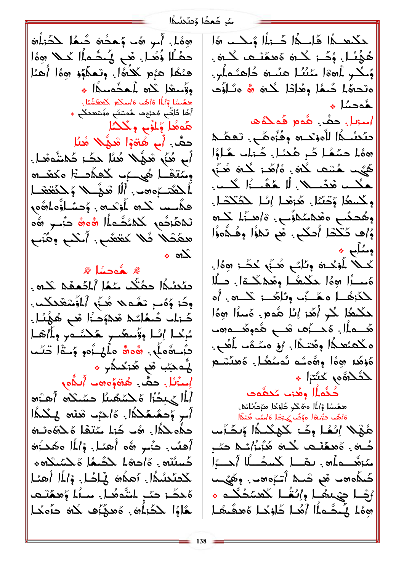مِّي كَعِجًا وُصَحْبُدًا

الْمِمَاءِ. أَسِ اللَّهُ وَلَعَدُوهُ شَيْعًا لِلْكُبْلُاهَ حَصَّلًا وُهُـٰا. هَـٰ هُـُـمُـلًا كَــلا هِهُا هِنُعُا هِءُمِ لَلْأَهُا. وِتَعَذَّوُوْ هِوَا أَهِنَا وَقُصِيْدًا كَلَاهِ أَلْمَدُّومِيدًا ﴾ همُسُلٍّ وَإِلَمَّا وَاهُد وَاسْتَمْ كَعْعَتْنَا. كُومُا دُاؤْمٍ وِكُلْمَا حفٌ. أَبِ هُوَّةٍا شَرُّبُ اللَّائِلُ أَبِ هُزَى ۚ شَوْلًا ۚ هُنُا ۖ حَدَّ ۚ دَٰهُ شُوشَا۔ ومتقدَّم اتَّتَكَلَّمَ حَبِّيهِ الْكَلَّمَةِ لَمَحْقَسَــرَه مِعْ اللَّهُ مَنْ حَمَدٍ الْمَحْمَدِ اللَّهُ مِحْكَمَتِهِ ۖ لِلْمَحْمَدِ فجَّلَــــــــــ كَــــــم ــــاُوْكــــم . وَحــَــَـــاوُّه اهُم لَـٰاهَٰٓ;دُّے لَّٰہُ دُّدَے اُمِّی اُمِّی مِنْ سِنَّہُ وَاُو ههُصْلا قُلا كَقْفُبِي. أَسْلَبِ وِهُنْبِي  $\bullet$  on 2 Lisaie 2 مَكْتُبُوا حقَّتُكَ مَعْا ٱلمَّحْقَةِ لَدْهِ . وِدَ وَوَّسِ تِعْدِيهِ مُنَّهِ ٱلمُؤْشِعْدِكِب. كَّزلم كَنْعُلْبُنْ هَٰذَوِّجَةُ أَهْلِ هُوُمُنَا. مُبكل إلىًا وتُصفَصر هُكْشُور ولَهُ هَا دَّنَــوَّه مِنْ أَهْمِ مِنْ مِنْ أَهْلَى مَنْ أَهْلِ مِنْ أَهْلَى لُه هَبُب هُم هُزْنُكُمُو \* إمثَالَ. حقَّ. هُوَّوَوها أَلَدُوم 0) عَيْدُا هَكْسُمَا لِمُعَمَّلَا هَ أَعْبَرَ الْمَا

أَمِرٍ وَحَمَّمَكُمَّاً. هَ/حَرَّمَ هُنْدَه لِمَحْكُمَّا حِفْهِ لِكُمَّا. هُ حَذِي مَّنْقُلُ هَ لِاهُ مِنْهُ أُهلَّفٍ حزَّى وهُو أُهلَّا. وْٱلْمَا وَهَجَرْوَا كَسْلَاهِ . ة/حدَّمَا لِكَسْهَا ةَلْمَسْلَاهُ . ِكْحِنْحِنُدُا. رُحِدُو بِنَاحُـا. وْالْمَا أُهِـُـا ەُحكَّ حِتْمِ لِمَتُوهُـلَ. مِبالُمْ وَهِمَّلْـهِـ هَّاوُا ۖ لِكَبْلُهَ . هُمِيَّزُفَ ۖ لَاهُ حَزَّهُ لِـا حكْمِدْ أَالْمَدْ أَحْبَلَا وَحَكَمَتْ وَأَ هُوُبُا. وُحَــز كُـــة هُعجَنْــعا كُـــة . وَّىكْـر ـاْھەْا مْنْشَا ھسَّـھْ دُاھشَـەلَر. ەنحەھًا ئىم*ُّ*ا وەُلمَا كەن ھەئىلۇپ هُ حِسُل ﴾ أسربل حقَّ هُوم فُوحةَ ه حنّضتُما الأهويْد وهُوَّه هُبِ نَفْسُهِ هەُ مَسْعُمَّا ضَرِ هُمْنَا. ضَناب هَاوُا كَهِيَبٍ هُسْمٍ لَمُنْ وَاهُدْ لَكُمْ هُـزَمٍ هكْــــ، قَدَّـَـــــــــلا بِ لَلْمَ هُدَّـــرُّ لَكَـــب بِ وكَسِعُا وَحَتَىٰا. هُـ;هَـا إِنَـا ۖ لِكَكْحَـا. وهُدئَبِ هِ هُدْمُدْهُ بِ. ةُ اهلُهُ لَدْ ه وُ}ِ دَكَـٰٓدَا /ُحكَّـٰى. مْي تَـٰاوُا وِهُـٰدُهوُا  $\frac{1}{2}$ ومُالِع \* كَمِلًا لَمُؤْكَّدَةَ وِتَلَبَّعِ هُنَّى كُحَّةٍ وَوَٰلُ. هُمساُل هِهُا حَكْمُهُمْ وِهُمْكُمْ . صَلَّا للأنفُ مصَّنَد وِتُلَّهُ : لَك 3. أُه حَكْتُمَا كُمْ أُهَّا إِنَّا هُوم. وَسَأَلَ هِوَا هُـــولًا. وَجَـــزَم هَـــع هُومُـــوهــو ەڭكەنلار وەتتىدا. ۇۋ ەممەئە ماھىم. ەُوْهَد ھۇل وِھُومُد ئُومُعُطْ. ەُھلَىْس لمُشَلِّأَهُ مَلَّامًا \* أَحُذُهُ أَل وهُزم كَحَقُّوب همَّسُا وَالْمَا وَهَ كُرِ خَاوَجُا هرِّجَزُّنَاهُمْ.<br>وَاهُد حَبَّدوا وَوَجَّد حَجَّدا وَاسُب هُتمَّا هُهْلًا إِنُمُا وِحَٰ: كَٰهِكُنَّمَا وَتَحَدَّب كُەن. ەَھكْسُما لْحُدْهْ هُزُمْزُاسُّلا حَسْرِ مَّنْهُـــهِ أَنْ يَا كَسْدُلُّا أَحْـــرُا كَمكُوهِ مَنْ شَمِيعَ أَسْبُوهِ وَمِنْ مِنْ مِنْ مِنْ رُصْلِ حَيْبِيسًا وَإِنْشَا لَمُعْتَدِكُمْ \* هِهُا يُحَدُّعاًا أَهُا خَاوَىٰا هَعفَىغَا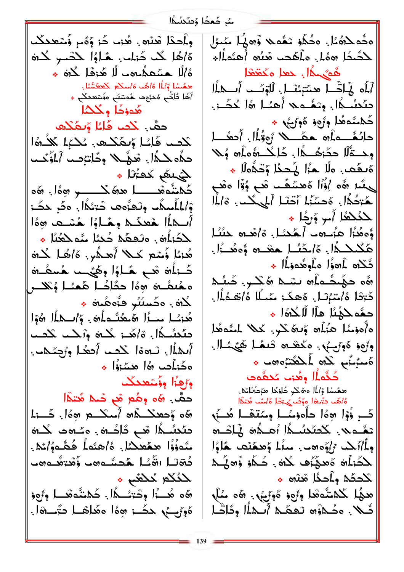وِلْمِحْلِ هُدْهِ . هُـْنِ جُـْ وَوُّسٍ وَمُتَعْدَكُت ةُاهُا كُد دُّنات. هُـاوُا لِكْسَـرِ كُـ1ة هُ/أَلَا هِمَعِجُمِيهِ لَا هُزِقَا كُنْ \* همُسُلِ وَالْمَا هَاهُمَ هَاسِكُمْ كَعْعَقْتُمَا. أَهُا دَاتَٰب هَدوٗء حُمتنَٰب هوَ مَعدكم ﴿ هُدوْدًا وكُلْمًا حقٍّ. كَتْتَ قَامًا وَتَمَكَّنُفُ ݣحب فَاسًا وَيْكَحْمْ. سُكْبًا ݣْلُمَّا حِفْهِ كَـٰهُا . مَحَمُّــه وحَاتزِمــد أَلمَؤَكَــد \* لَتَهْعَمْ بِصْرِيمُ وْ}لِلْمِيكُبِ وِنْعَزُّەها تْتِنْكُلْ. ەكْرِ جَتْءَ أسمأا هعكم وهاؤا هشبعا ودا للْكُرْلُمْقِ. وتَعَمَّلُا حُمْلًا شُولِكْتُلْ \* هُٰزِيُلٍ وَٰٓسۡصِ يَحِيلاً أَهلُمُنِ ﴾ أَهُمَا يُحْمَو كَـٰٓ; أَنْ هَـٰ هُـٰٓاوُاْ وِهَٰٓيُـَــٰ هُـُنفُـُـن دهُىعُــة ھِەُا حَثَائُــا هُمْـُـا وُݣْلــو **َلاهٰ . ەڪس***للُ***ر قۇە**ھُىھٰ ∻ هُذِئَـا مِــرًا هَٰمِعُنُـمِلِّعَ فَيَ وَالْــمَلَّا هُوْا دىڭدىگا. ةاھْد كەھ وأىلىك كىس أَبْتَغَلَّا. تَـْ189 لَكْتَبَ أَيْتَغَيَّا وَزُكِيَّتَ، وَحَٰزَٰٓىٰدَ ﴿ وَالْمَحْتَوَٰٓاْ ﴾ ورُجِزًا ووُسْعِدِكُمْ حقٍّ. هُو وهُم هُم شَداً الصَّدَّةُ هُه وُحملَكُمْ أُسلَكُ مِ هُا. حُــزَا تنَكْسُــكَا هُــع كَاكُــة . مَـُــهت كُــة مِنْدَوْوَا مِدْهُمِيكَانِ. وْاهِنُدْلُ هُدُّدُوْا بُكِنْ. دُةتْلْ اقْتُا هُجِسَّەھە ۆْقْتْھُجە لمنكع حُلقُ \* هَه هُــزُا وِحْتِيُــدًا. كَمْنْنُهِ هُــا وِرُوو هُورُنِــُ مِدَّـــز وهو العَمْلِقَـــا مَتَّنَـــوْهَ ال

ەخُەخلاھُمَّا. ەخگۈ تىقەخە ۋەھكا مىلۇل لحَصْدُا «هُا. هلْكُحب هْدُه أَهْدُماْ\* المُتَضَرَّه العه. الْمُرْهَفُ أَلَم بِٱلْقَــا هِمّتِهُنْـا بِ ٱلْوَنّــبِ أَسْــهِ أَا حنَّحنُنَّــدًا. وتمَّــوهــلا أهنا ها حُجَّــز. كَلْمُشُوهُا وِزُووْ وُوِزْنِيْ \* وحشَّلًا حَضَوْكُم الْمَسْكُمُّا بِهِ حَاجُدٌ هُوَ اللَّهُ مِنْ الْمَسْمَعُونَ مِنْ الْمَسْمَعِينَ م هَ لِفَعٍ وَلَا هُزًا إِيضًا وَخَذْهُ وَاللَّهُ ﴾ لَّكُمَا هُوَ إِوْزًا وَهَدْهُمَا هُمْ وَوَّا وَهُمْ لِمَنْزِمِنَّ مِنْزَلِمِنَّ مِنْزَلِمِنْ هَّتِحُمَّا. هَحِمَّنَا ٱتْسْا ٱلْمَحْمَدِ. هَ/أَ لْمُكْلَّكُلُّ أُمِرٍ وَّرِجًا \* وُوهُدُا هِنُدوم أَهْدَا. وْأَهْدُ هَلْهُمَا هَكُمحِيهُ ا, هُ الْمَصُلْ هَعْلُو وُوهُمْ الْ ثَلَاه ـ أهوُّا ماوقُدوماًا \* ، مَهْمَدْها مِنْسِيمْ ، مَكْسِ. كَيْتُ كَتِطْ هُ/سَبُّلْل. هُهكُ; مِّسْلًا هُ/قَصُمُّلْ. حَقَّ حَجَّنًا هِلَا لَا حُدُّ ا ەأەفِسُل ھزُلُم وَبِرەَ كَبْرٍ. كَمَلّا لِمُتَوَهُرا وِرُّووْ هُوِرُبِيُّ. هكْتُدْه شَعُّا هَيُّمَالُ. ەمئېئى كەكلىكتئەەت \* كُنْمَلًا وِهُنِي مُحَقَّدِت همَّسُا وْالْمَا وْهُكُر كَاوْكَا هَدَّتُنَاسُه.<br>كَاهُد تَبُّدهَا وَوَّتُدحَّجَدًا كَاسُد هُتَدَّا كُبِ وَٰٓوٖۤا هِهَا حاهوميُّا ومِمْتَقَا هُبَّى تعُــه هـ. كَحتَحتُــهُا يُصـهُوهَ إِيْـاحْــوه وِلَمُأَالَمَكَ رَاوُدِهِ مِنْ مِعْتَمَا وَلَا الْمُسَوَّلَةِ مِنْ الْمُؤَالِ لِكْتَبْلُغْ هُجْدُوْكَ لَكْفَ شَكْلُوْ وْهِكْبِكْ لْمَحَكَّمْ وِلْمَحْلِ ثَعْنُوهِ \* هِيمًا لَكُمْشُوهَا وِزُووْ وَوِزْيُنِ ۖ وَهُ مُلَ ثَــلا . هكُــدْوْه تَـعمَـدْ أَبــدْأَا وِدَّاتْـا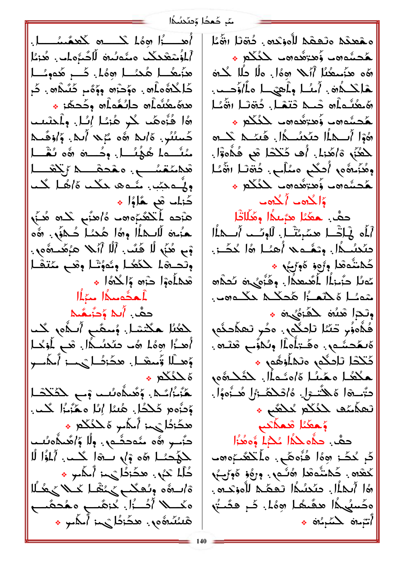أها الوه المحمد العكمية ٱلمُؤْسَّقُدِكُمْ ۚ مِنُوَسُرَةَ ٱلْأَصَرُّولِكِ ۚ هُٰٓ مُرْمُلًا هزَيهُما هُدُما هِهُا. كُبِ هُدوِمُما كَلْكُلُّهُ مِلَّاهِ . وَوَّدُ وَوِّقُ مِنْ كَنْتُمْ هُ . كُلُّ هدهُ حَفْدُاه حالُهُ مِلَّاه وِحُحفَظ ﴾ هْا فُنُوهَب كُدٍ هُنِيًا إِنْبَا. وِلْمَنْسَب كَسِنْتُو. هَ/بِمْ هُو سُرِيْلا أَبْدَا. وَأَوْقَيْدَا مُنْــه لمُهُنُــا. وِحُـــة ۞ه نُغْــا هْلِمَمْعْسُبِ. ەھْھڤـــا ئِكْعْـــا وِيُّــهكِبُ. مُنْــه ها مكْــد ةُ/هُــل كُــد دَّنام هُم هُاوُل هُ هْزَه، لَمْتَكْتَبُوهِ وْاهْبُمْ كَلْـْهِ هُــَمْ هِنُمِينَ لَّالِيهِمَا وَهَٰلَ هُدُمَا حُبْظَىٰ. ۞ه وْمٍ هُنِّي لَا هُنَّبٍ. أَلَّا أَآيَا هَزْهُنْدِوْهِي. وثحــوه اللحَمَحُـا ومُورَّسًا وهــم مَنفَـا هْدَامُوا حَزْهِ وَالْحَدْهَ الْمَحْدَ أأَحْدُ الْمُدَدَّالِ حفَّ. أَبْدَ وَجَنْبِهُنْدَ ِكْعُنَا حَكْتَسْاً. وُسِعَّى أَنـذُهر كُـن أُهدُا هِمَا هُـد مَكْسُـدًا. هَـم لَمْكُـد وَهِــْلَا وَّمِـهْــلْ. هكْرَكْــلِيْـــز أَمكُســر ەكككى ، ۿۜڹؙٛۥؘ<sub>ٵ</sub>ۢ*ؽ۫*؇؞ۄؘٚۿؘٮۮۢڡٮۢٮ؋؎۪ؠڂػػڞٳ وَدَّوم كَحْكًا. هُنا إِنَّا وَهَّنْظُ كَب. ه مَكْنُكُمْ بَهُمْ أَحْكَمْ \* دَّىبِ ۞ُه مْدَدَشُـُمِ. وِلَٰا وَٚاهُمْدُهَاسُــَ لِحَمْحَـٰـٰا هَء وْلِي سِـهْا كُـْـب أَلْمَوْا لُا دُلُمْ تَدُبُّ . هرصَّادُكُمْ مِنْ أَسْكُسِ \* للْمُعْرَ مُمْمَّدٌ لِمُقْنَرِّ مِمْهُمْهِ هِ هُمْسَاهَ ەڭــــلا أُكُـــزًا. كَرْهُــــع مْمُحمَّـــع هْ سِلْمَا ۚ مَرَىٰ الْمَنْ وَهُمُنَكُمْ ﴾

مشعثك متعشك لأوزده وخوقتا اشكا هُجِسَّةِهِ وَهُنَّقَدِهِ لَلْكُلُّلِ \* هُه هنَسمُنُا أَأَلا هِهَا. وَلَا حُلًّا لَحْدَه هْلْكُمُرْهْ . أَمِنُها وِلْمِحْمِدا هِأَاؤُحِبّ . هَ حَفْدُه أَما هُنَّ مَنْهَا وَ حُقْفَا اللَّهُ الْمَنْ هُجِسُهِ وَمُ أَهْتِرْهُوهِ مَسْكَلَامٍ هُوْا أَبِيهِاْ مِنْجِيْسِهَا. هَيْئِهِ كَتَبَهُ لحَفَّنَ وَاهُدَا. أَفْ كَتَكْدَا هُمْ فُذُهَرًّا. وِهُنَنَّهُم أَصَلَّــمٍ مِنْأَلِــعٍ. ضُقَالَنَا الثَّاسُــا هُجِسُوهِ وَمُتَوَهُوهِ لِلْكُلُونَ ﴾  $\frac{1}{2}$ وَالْحَدَةِ مَا كَلَّةَ حفْ. هعْمُا مرْسِلًا ومُلَاثَا أَلَم يُمَاتْها هِمْ يْتْسَارِ. لَلْوِيِّبِ أَيْسِهِمْاً! دِيَكْسُلُمَا. وَتَشْبَعُنِي أَهْلِي هَا خُجَبَ كْهْشُوْهْدا وْزُوْوْ ەْوْزْبْكْلْ \* إ عَمْلَ حَبَّىٰہَا ۖ لِّمُعَمَّدُ ۖ . وَهَّنَّىٰ مَنْ تَحِدُّه شەئا ةىلىمە : مۇ ئىكىم يىك مەت. وتترا هُنُهُ لَحَفُرْهُ لِهُ . فُکُّەؤُو تَى*نُّا تَ*ادِکُّە، وَجُو *تَ*ھگَا*حَ*ثُّە،<br>ەَبْمُحَمَّـُـهِ، وَفُــٰٓزَاهُاْ وِنُكَوّْبٍ ثَ*دْتُ*ه. حُكْحًا تَاحِكُم هَيْمَاؤُهُم \* هَكْفُـا مَعَّىنُـا هَاهْـُـماًا. حْثَكْـرْهُم دَّسْرْهَا هَلِيٌّتُولُ. هُ/مْكَكَّرْزَلْ هُــزُهْوَا. تعكَّمَك لمَنُكُم مُلْعُبٍ \* وَحَصَّا شَعَدَتَ حفْ. حذُّه حَدًا عُجْلاً وُهمُدًا كَرِ كُكُّ; هِهُ الْخُوْهَى. مِلْتَكْسَرُوهم كَعْدَهِ . كَمْنْدُهْدَا هُنُمْ. وِرْؤُوْ هُوِرْبُهُ هُا أَبِيْلًا. حِنْدِيُبِّهُ لَفِيَّةٌ لِأُوزِيْدِهِ . ەكسپەگا ھۇمگىل ھۇلم. كېر ھۇسۇر  $\frac{1}{2}$  $\frac{1}{2}$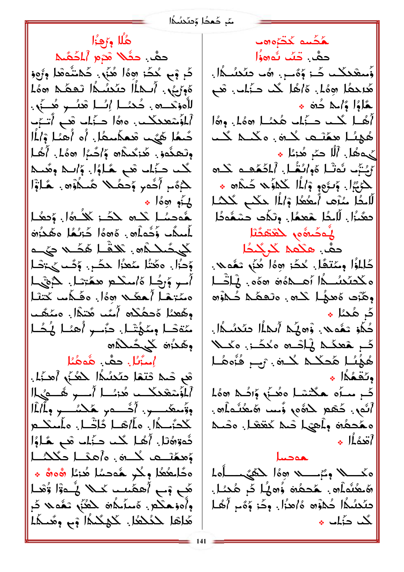هُلًا وَرَجْزًا حفٍّ. حثُلا مْرْم ٱلمُحَمَّد كُرِ وْمِ كُكُرْ وِهُۥ هُزَىٰ. كُمْشُوهْا وِزُووْ هُوۡرَٰیُۖ﴾. أَسكلاً تَتَّخَذُمُا نَفْعُكُمْ 1، 15 الأُدوْكَـــ ۞ . حُـُــُـــا إلـُـــا هَـلُـــو هُـــوَّى . ٱلمؤَسْعِدِكْبٍ. ٥%ا حـزَلم هَبِ ٱتنزِم دَّمَعًا هَيْبِ شَعِكْمِيعًا. أَن أَهْنَا وَٱلْمَا وِتَعِدُّووْ. هُزِيَّىدُانُ وَإِصَّرُا 16%. أَهْل كُب حزِّلَت هُم هُلُوًّا. وَٱتْنَا وَهُنَا كُرْهُمِ أَحْمَى وَحِمُـلًا هُــدُوْنَ . هَـٰلَوْٓا  $\frac{1}{2}$  $\frac{1}{2}$  $\frac{1}{2}$ هُوصُل كَلُّهِ لِكُنَّةِ لِلْأَلْمَاءِ وَحِعُلًا لَمْمَكُمْ وَكُمْلُوهِ ﴾ [66] كَرْتُعُلْ وَهُدُرُهَ كَيْرِحُمْكُمْ؟ . ثَلَاقْط هَجَـــه حَيْبِــه وَجِّدًا. وَهَٰتُا مَّعِبًا حَضَرٍ. وَكَبِّ يَ تَجْل أُسِرٍ وَرَكُما هَاسْكُمْ هُمَّتْنَا. كَرْئَيْهَا مِمْتِهَا أَحْقَىلا هِوْلَ. وَقَـٰكُمِبْ كَتْتْلَ وهُعنا هُحعُدُه أَمِّد هُتمَّا. مِمْعُب مَّةْشَا وِمَّدُتْا. حَزْبٍ أَهْنَا لِمُكَّا وهُدُوهُ كَمِيحُمِلاً وه إِسْرُبُلْ. حِفْ. هُوهُمُا مْعِ شَـٰهِ دَتَـٰهَا مَنْدَسُمًا ۖ حَمْـَوْعٍ أَمَــٰٓءًا. أَمْلَؤُسْعُكُمْ هُدَيْهِ أُوْسِعٍ هُدَيْهِ الْمُسْتَقِيدِ الْمُسْتَقِيدِ الْمُسْتَقِيدِ الْمُسْتَقِيد وِوَّسكَمِـــــــوِ. أَكْــــــــــو هَــــــد ولَمَالِمَا ا كْحَزَـــدًا. مأاهْــا كُاتْــا. مأمكــم ثُەرّەُنا. أَهُا گُد حنّاد شَم هُاوُا وُهمْنَــم كُـــة. هأهمْــا حكْكــا ەڭلىغغا وڭر ھەدسًا ھُزىًا ۋە » هُبِ وْبِ أَهمُنت كَتَلًا هُـوَّا وُهْتَ وأَهوَ هَلُكُمْ. هُمَدَّمَكُمْ هُمَدًى تَعْقُلُهُ شَقَّصُدًا كُمْ هَاهَا حَدُحْمًا. كَمِكْدُا بْبِ وِمَحِكَّا

مَكْسِم كْتْدُوهم حَقٌّ. خَتَّ ثَهُ‰َ ۈمىھككىي كَــز ۆەسر. ھى ملكلىكال هُدِهِمَا هِمَا. هَاهُا كُبْ حِبَّابٍ. مَّع هَاوُا وَإِسْلا حُدَّة \* أَهْلِ كُمِّ حَنَّلَتْ هُمْنَا هُمَّا. وَهُ ھُمْلَا ھِمَنَے کُنْ ، ہگنے گُن لَى هَ أَلَّا حَمَّ هُذِمَّا \* رُّيْتُوب نُوتْنَا وَدِرُانُغُمَا. أَلْمَٰكَهُ هَد كَلِهِ لِكَمِيْزًا. وَبَوْهِهِ وَٱلْمَا كَلَاوَكَلَّا حُلَّاهِ \* لَّاحُا مُآمَ ٱُهُعُا وَٱلْمَا حَكُبِ كَكَنَا دهَّىزًا. لَّامِثًا هَعِمًا. وِتَـكُف حِتْـهُودًا بِيُّدَضَةُهِ لِاهْتَفَكُنَّا حفّ هكْمه كْرِجْدُا كَلّْلُواْ وِمُتَقَلّْ. كُكّْرْ هِهْ هُذًا هُنَّهِ عَفُمِهِ. مكْتِئْتِيْتُمَا أَعْتَدْهُ هَ وَي ذَلِّقْتَا وِكْنَ هَعِيهَا كَلِهِ . هَ تَعْقَبُهِ حُكْنُوه دٌ مُد*َّا* حُكْفٍ تَعْمَى وَ وَ مِكْمٍ أَنَّهَا الْمَحْتُبِكُمَا لِ کُے مُعلَکہ لَجاتَے ہدُکُے: ہ کُٹ هُهُنَا هَحكُـه كُــة. رُبِّ فُزُهِهُـا وئقمُكُل \* كَمِ مِمِنُو هِكْتَسْلَ وَهُنَىٰ وَائِكُمْ هُوَٰا أَنَّهِ. كَتْعُمْ لِهُ مَهْ وُسَب هَمْعُنُـمْ مَهْدَ مَعْحِفُرْهِ وِلْمِهْلَ شَيْعَ مُقْعَلْ. وشَيْعَ أقفكم أ الموجيبا مكسلا وسريفه اه والمحتين المسأما لَّهُ مِعْنُماتِهِ ﴾ . • مُحمُن وُلَّا وَلَى اللَّهِ مُحَسَّلٍ دِيَكْتُبُوا حُكْوَّة وُاهْدًا. وِجَّرَ وَوَّسِ أَهْل ئد *حوّلم* \*